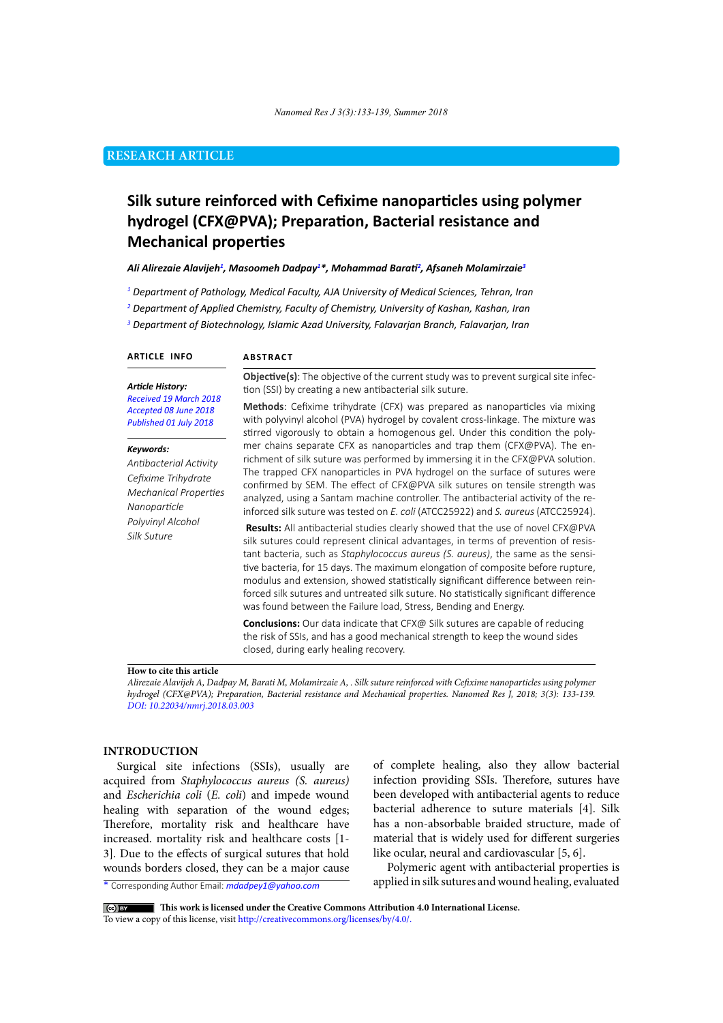# **RESEARCH ARTICLE**

# **Silk suture reinforced with Cefixime nanoparticles using polymer hydrogel (CFX@PVA); Preparation, Bacterial resistance and Mechanical properties**

#### Ali Alirezaie Alavijeh<sup>1</sup>, Masoomeh Dadpay<sup>1\*</sup>, Mohammad Barati<sup>2</sup>, Afsaneh Molamirzaie<sup>3</sup>

*1 Department of Pathology, Medical Faculty, AJA University of Medical Sciences, Tehran, Iran*

*2 Department of Applied Chemistry, Faculty of Chemistry, University of Kashan, Kashan, Iran*

<sup>3</sup> Department of Biotechnology, Islamic Azad University, Falavarjan Branch, Falavarjan, Iran

#### **ARTICLE INFO**

#### **ABSTRACT**

#### *Article History:*

*Received 19 March 2018 Accepted 08 June 2018 Published 01 July 2018*

#### *Keywords:*

*Antibacterial Activity Cefixime Trihydrate Mechanical Properties Nanoparticle Polyvinyl Alcohol Silk Suture*

**Objective(s)**: The objective of the current study was to prevent surgical site infection (SSI) by creating a new antibacterial silk suture.

**Methods**: Cefixime trihydrate (CFX) was prepared as nanoparticles via mixing with polyvinyl alcohol (PVA) hydrogel by covalent cross-linkage. The mixture was stirred vigorously to obtain a homogenous gel. Under this condition the polymer chains separate CFX as nanoparticles and trap them (CFX@PVA). The enrichment of silk suture was performed by immersing it in the CFX@PVA solution. The trapped CFX nanoparticles in PVA hydrogel on the surface of sutures were confirmed by SEM. The effect of CFX@PVA silk sutures on tensile strength was analyzed, using a Santam machine controller. The antibacterial activity of the reinforced silk suture was tested on *E. coli* (ATCC25922) and *S. aureus* (ATCC25924).

**Results:** All antibacterial studies clearly showed that the use of novel CFX@PVA silk sutures could represent clinical advantages, in terms of prevention of resistant bacteria, such as *Staphylococcus aureus (S. aureus)*, the same as the sensitive bacteria, for 15 days. The maximum elongation of composite before rupture, modulus and extension, showed statistically significant difference between reinforced silk sutures and untreated silk suture. No statistically significant difference was found between the Failure load, Stress, Bending and Energy.

**Conclusions:** Our data indicate that CFX@ Silk sutures are capable of reducing the risk of SSIs, and has a good mechanical strength to keep the wound sides closed, during early healing recovery.

#### **How to cite this article**

*Alirezaie Alavijeh A, Dadpay M, Barati M, Molamirzaie A, . Silk suture reinforced with Cefixime nanoparticles using polymer hydrogel (CFX@PVA); Preparation, Bacterial resistance and Mechanical properties. Nanomed Res J, 2018; 3(3): 133-139. DOI: 10.22034/nmrj.2018.03.003*

# **INTRODUCTION**

Surgical site infections (SSIs), usually are acquired from *Staphylococcus aureus (S. aureus)* and *Escherichia coli* (*E. coli*) and impede wound healing with separation of the wound edges; Therefore, mortality risk and healthcare have increased. mortality risk and healthcare costs [1- 3]. Due to the effects of surgical sutures that hold wounds borders closed, they can be a major cause

of complete healing, also they allow bacterial infection providing SSIs. Therefore, sutures have been developed with antibacterial agents to reduce bacterial adherence to suture materials [4]. Silk has a non-absorbable braided structure, made of material that is widely used for different surgeries like ocular, neural and cardiovascular [5, 6].

Polymeric agent with antibacterial properties is applied in silk sutures and wound healing, evaluated

\* Corresponding Author Email: *mdadpey1@yahoo.com*

 **This work is licensed under the Creative Commons Attribution 4.0 International License.**

To view a copy of this license, visit<http://creativecommons.org/licenses/by/4.0/.>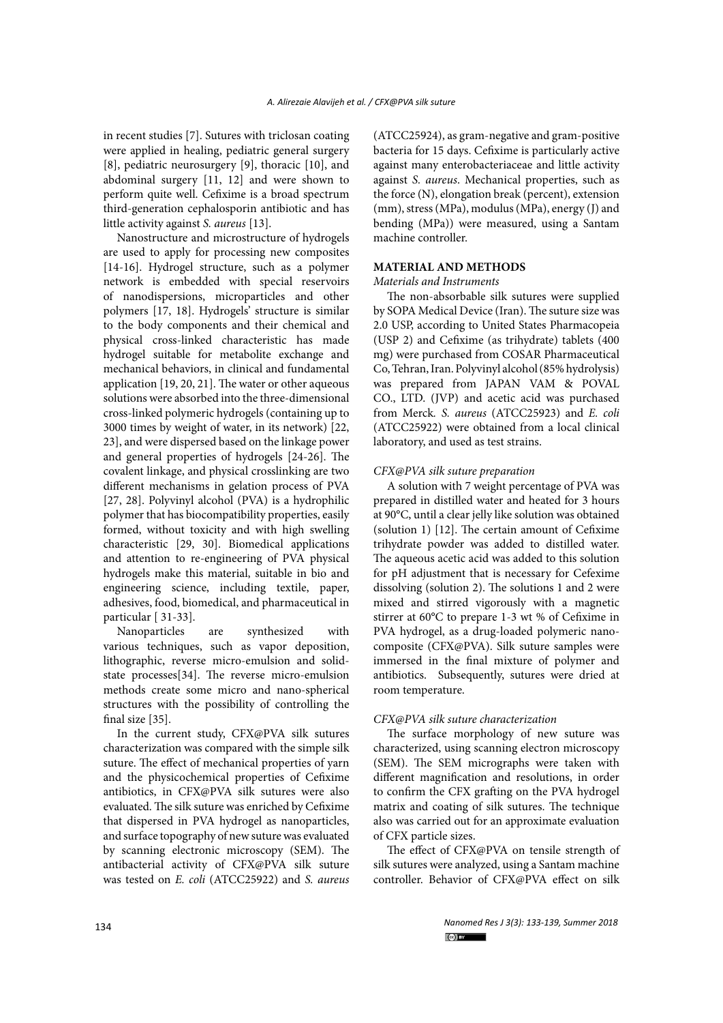in recent studies [7]. Sutures with triclosan coating were applied in healing, pediatric general surgery [8], pediatric neurosurgery [9], thoracic [10], and abdominal surgery [11, 12] and were shown to perform quite well. Cefixime is a broad spectrum third-generation cephalosporin antibiotic and has little activity against *S. aureus* [13].

Nanostructure and microstructure of hydrogels are used to apply for processing new composites [14-16]. Hydrogel structure, such as a polymer network is embedded with special reservoirs of nanodispersions, microparticles and other polymers [17, 18]. Hydrogels' structure is similar to the body components and their chemical and physical cross-linked characteristic has made hydrogel suitable for metabolite exchange and mechanical behaviors, in clinical and fundamental application [19, 20, 21]. The water or other aqueous solutions were absorbed into the three-dimensional cross-linked polymeric hydrogels (containing up to 3000 times by weight of water, in its network) [22, 23], and were dispersed based on the linkage power and general properties of hydrogels [24-26]. The covalent linkage, and physical crosslinking are two different mechanisms in gelation process of PVA [27, 28]. Polyvinyl alcohol (PVA) is a hydrophilic polymer that has biocompatibility properties, easily formed, without toxicity and with high swelling characteristic [29, 30]. Biomedical applications and attention to re-engineering of PVA physical hydrogels make this material, suitable in bio and engineering science, including textile, paper, adhesives, food, biomedical, and pharmaceutical in particular [ 31-33].

Nanoparticles are synthesized with various techniques, such as vapor deposition, lithographic, reverse micro-emulsion and solidstate processes[34]. The reverse micro-emulsion methods create some micro and nano-spherical structures with the possibility of controlling the final size [35].

In the current study, CFX@PVA silk sutures characterization was compared with the simple silk suture. The effect of mechanical properties of yarn and the physicochemical properties of Cefixime antibiotics, in CFX@PVA silk sutures were also evaluated. The silk suture was enriched by Cefixime that dispersed in PVA hydrogel as nanoparticles, and surface topography of new suture was evaluated by scanning electronic microscopy (SEM). The antibacterial activity of CFX@PVA silk suture was tested on *E. coli* (ATCC25922) and *S. aureus*

(ATCC25924), as gram-negative and gram-positive bacteria for 15 days. Cefixime is particularly active against many enterobacteriaceae and little activity against *S. aureus*. Mechanical properties, such as the force (N), elongation break (percent), extension (mm), stress (MPa), modulus (MPa), energy (J) and bending (MPa)) were measured, using a Santam machine controller.

# **MATERIAL AND METHODS**

### *Materials and Instruments*

The non-absorbable silk sutures were supplied by SOPA Medical Device (Iran). The suture size was 2.0 USP, according to United States Pharmacopeia (USP 2) and Cefixime (as trihydrate) tablets (400 mg) were purchased from COSAR Pharmaceutical Co, Tehran, Iran. Polyvinyl alcohol (85% hydrolysis) was prepared from JAPAN VAM & POVAL CO., LTD. (JVP) and acetic acid was purchased from Merck*. S. aureus* (ATCC25923) and *E. coli*  (ATCC25922) were obtained from a local clinical laboratory, and used as test strains.

# *CFX@PVA silk suture preparation*

A solution with 7 weight percentage of PVA was prepared in distilled water and heated for 3 hours at 90°C, until a clear jelly like solution was obtained (solution 1) [12]. The certain amount of Cefixime trihydrate powder was added to distilled water. The aqueous acetic acid was added to this solution for pH adjustment that is necessary for Cefexime dissolving (solution 2). The solutions 1 and 2 were mixed and stirred vigorously with a magnetic stirrer at 60°C to prepare 1-3 wt % of Cefixime in PVA hydrogel, as a drug-loaded polymeric nanocomposite (CFX@PVA). Silk suture samples were immersed in the final mixture of polymer and antibiotics. Subsequently, sutures were dried at room temperature.

## *CFX@PVA silk suture characterization*

The surface morphology of new suture was characterized, using scanning electron microscopy (SEM). The SEM micrographs were taken with different magnification and resolutions, in order to confirm the CFX grafting on the PVA hydrogel matrix and coating of silk sutures. The technique also was carried out for an approximate evaluation of CFX particle sizes.

The effect of CFX@PVA on tensile strength of silk sutures were analyzed, using a Santam machine controller. Behavior of CFX@PVA effect on silk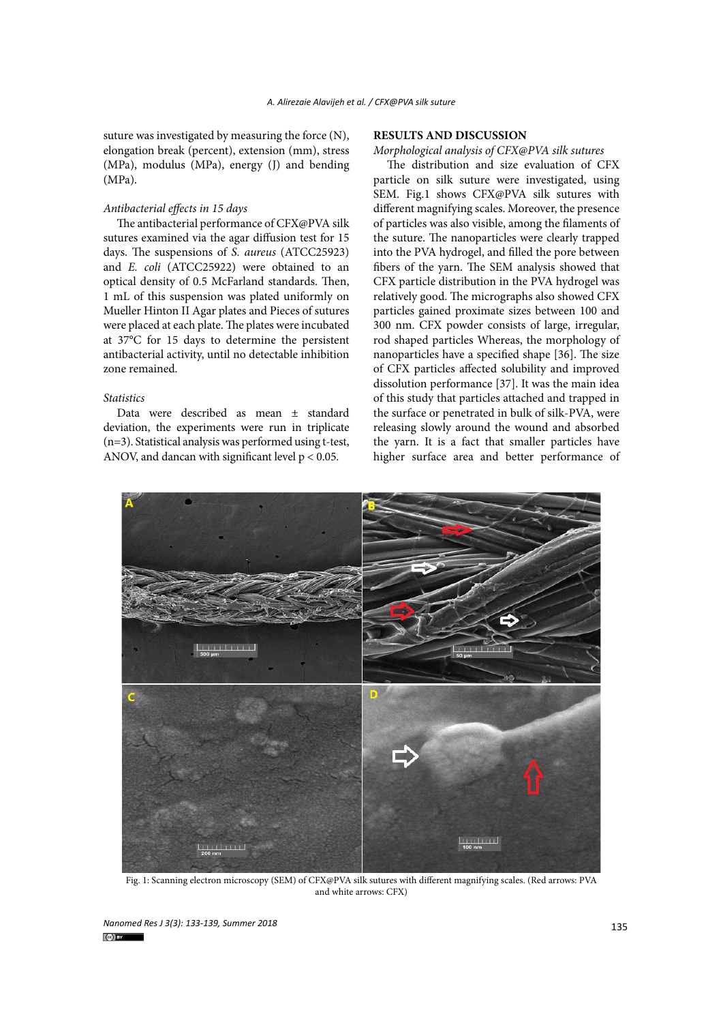suture was investigated by measuring the force (N), elongation break (percent), extension (mm), stress (MPa), modulus (MPa), energy (J) and bending (MPa).

# *Antibacterial effects in 15 days*

The antibacterial performance of CFX@PVA silk sutures examined via the agar diffusion test for 15 days. The suspensions of *S. aureus* (ATCC25923) and *E. coli* (ATCC25922) were obtained to an optical density of 0.5 McFarland standards. Then, 1 mL of this suspension was plated uniformly on Mueller Hinton II Agar plates and Pieces of sutures were placed at each plate. The plates were incubated at 37°C for 15 days to determine the persistent antibacterial activity, until no detectable inhibition zone remained.

## *Statistics*

Data were described as mean ± standard deviation, the experiments were run in triplicate (n=3). Statistical analysis was performed using t-test, ANOV, and dancan with significant level  $p < 0.05$ .

# **RESULTS AND DISCUSSION**

*Morphological analysis of CFX@PVA silk sutures*

The distribution and size evaluation of CFX particle on silk suture were investigated, using SEM. Fig.1 shows CFX@PVA silk sutures with different magnifying scales. Moreover, the presence of particles was also visible, among the filaments of the suture. The nanoparticles were clearly trapped into the PVA hydrogel, and filled the pore between fibers of the yarn. The SEM analysis showed that CFX particle distribution in the PVA hydrogel was relatively good. The micrographs also showed CFX particles gained proximate sizes between 100 and 300 nm. CFX powder consists of large, irregular, rod shaped particles Whereas, the morphology of nanoparticles have a specified shape [36]. The size of CFX particles affected solubility and improved dissolution performance [37]. It was the main idea of this study that particles attached and trapped in the surface or penetrated in bulk of silk-PVA, were releasing slowly around the wound and absorbed the yarn. It is a fact that smaller particles have higher surface area and better performance of



**Figure 1: Scanning electron microscopy (SEM) of CFX@PVA silk sutures with different**  Fig. 1: Scanning electron microscopy (SEM) of CFX@PVA silk sutures with different magnifying scales. (Red arrows: PVA and white arrows: CFX)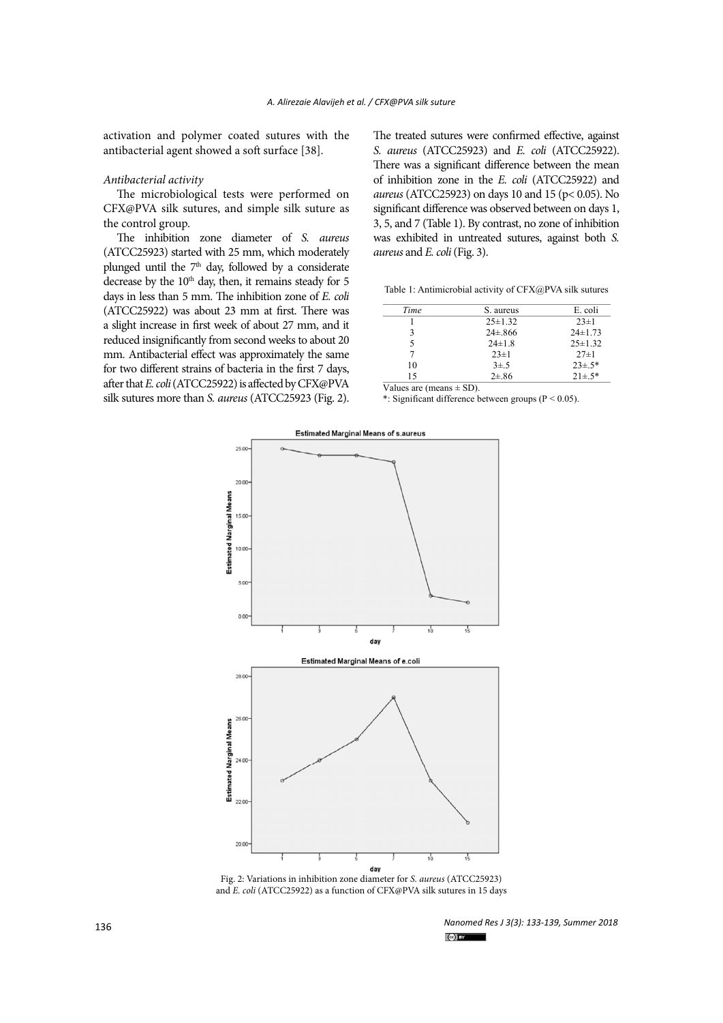activation and polymer coated sutures with the antibacterial agent showed a soft surface [38].

## *Antibacterial activity*

The microbiological tests were performed on CFX@PVA silk sutures, and simple silk suture as the control group.

The inhibition zone diameter of *S. aureus* (ATCC25923) started with 25 mm, which moderately plunged until the  $7<sup>th</sup>$  day, followed by a considerate decrease by the 10<sup>th</sup> day, then, it remains steady for 5 days in less than 5 mm. The inhibition zone of *E. coli* (ATCC25922) was about 23 mm at first. There was a slight increase in first week of about 27 mm, and it reduced insignificantly from second weeks to about 20 mm. Antibacterial effect was approximately the same for two different strains of bacteria in the first 7 days, after that *E. coli* (ATCC25922) is affected by CFX@PVA silk sutures more than *S. aureus* (ATCC25923 (Fig. 2).

The treated sutures were confirmed effective, against *S. aureus* (ATCC25923) and *E. coli* (ATCC25922). There was a significant difference between the mean of inhibition zone in the *E. coli* (ATCC25922) and *aureus* (ATCC25923) on days 10 and 15 (p< 0.05). No significant difference was observed between on days 1, 3, 5, and 7 (Table 1). By contrast, no zone of inhibition was exhibited in untreated sutures, against both *S. aureus* and *E. coli* (Fig. 3).

Table 1: Antimicrobial activity of CFX@PVA silk sutures Table 1: Antimicrobial activity of CFX@PVA silk sutures

| Time | S. aureus      | E. coli       |
|------|----------------|---------------|
|      | $25 \pm 1.32$  | $23 \pm 1$    |
| 3    | $24 \pm 0.866$ | $24 \pm 1.73$ |
|      | $24 \pm 1.8$   | $25 \pm 1.32$ |
|      | $23 \pm 1$     | $27 \pm 1$    |
| 10   | $3\pm.5$       | $23\pm.5*$    |
| 15   | $2 + 86$       | $21\pm.5*$    |

Values are (means  $\pm$  SD).

\*: Significant difference between groups ( $P < 0.05$ ).



Figure 2: Variations in the collision  $\frac{1}{2}$   $\frac{1}{2}$   $\frac{1}{2}$   $\frac{1}{2}$   $\frac{1}{2}$   $\frac{1}{2}$   $\frac{1}{2}$   $\frac{1}{2}$   $\frac{1}{2}$   $\frac{1}{2}$   $\frac{1}{2}$   $\frac{1}{2}$   $\frac{1}{2}$   $\frac{1}{2}$   $\frac{1}{2}$   $\frac{1}{2}$   $\frac{1}{2}$   $\frac{1}{2}$   $\frac$ **(ATCC25922) as a function of CFX@PVA silk sutures in 15 days** and *E. coli* (ATCC25922) as a function of CFX@PVA silk sutures in 15 days Fig. 2: Variations in inhibition zone diameter for *S. aureus* (ATCC25923)

*Nanomed Res J 3(3): 133-139, Summer 2018*  $\left($ cc) BY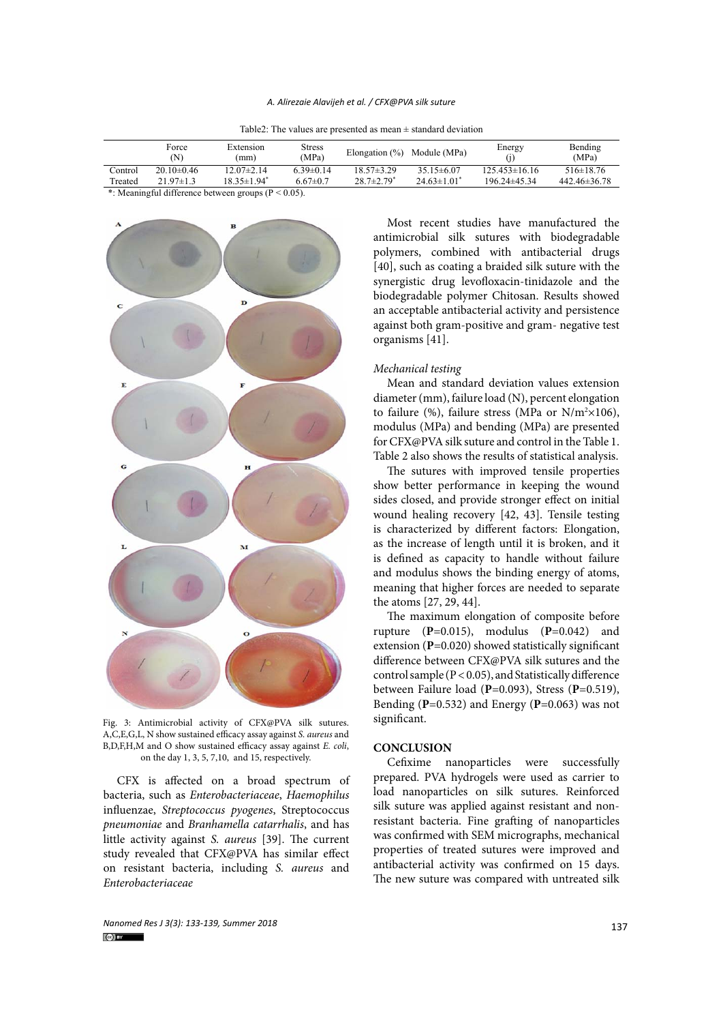## *A. Alirezaie Alavijeh et al. / CFX@PVA silk suture*

| Table 2: The values are presented as mean $\pm$ standard deviation |
|--------------------------------------------------------------------|
|                                                                    |

|                                                         | Force<br>(N)     | Extension<br>(mm)             | <b>Stress</b><br>(MPa) | Elongation $(\%)$ Module (MPa) |                    | Energy            | Bending<br>(MPa)   |  |  |
|---------------------------------------------------------|------------------|-------------------------------|------------------------|--------------------------------|--------------------|-------------------|--------------------|--|--|
| Control                                                 | $20.10 \pm 0.46$ | $12.07\pm2.14$                | $6.39\pm0.14$          | $18.57 \pm 3.29$               | $35.15\pm 6.07$    | $125.453\pm16.16$ | $516\pm18.76$      |  |  |
| Treated                                                 | $21.97 \pm 1.3$  | $18.35 \pm 1.94$ <sup>*</sup> | $6.67 \pm 0.7$         | $28.7 \pm 2.79$ <sup>*</sup>   | $24.63 \pm 1.01^*$ | $196.24\pm45.34$  | $442.46 \pm 36.78$ |  |  |
| *: Meaningful difference between groups ( $P < 0.05$ ). |                  |                               |                        |                                |                    |                   |                    |  |  |

B  $\mathbf{D}$  $\epsilon$ Ħ  $\mathbf{v}$  $\circ$ 

**FIGURE 3: A,C,E,G,L, N** show sustained efficacy assay against *S. aureus* and<br>A,C,E,G,L, N show sustained afficacy assay against *E*. and *S*. **A** and **CONCENTAN** on the day 1, 3, 5, 7,10, and 15, respectively. Fig. 3: Antimicrobial activity of CFX@PVA silk sutures. B,D,F,H,M and O show sustained efficacy assay against *E. coli*,

CFX is affected on a broad spectrum of bacteria, such as *Enterobacteriaceae*, *Haemophilus* influenzae, *Streptococcus pyogenes*, Streptococcus *pneumoniae* and *Branhamella catarrhalis*, and has little activity against *S. aureus* [39]. The current study revealed that CFX@PVA has similar effect on resistant bacteria, including *S. aureus* and *Enterobacteriaceae*

Most recent studies have manufactured the antimicrobial silk sutures with biodegradable polymers, combined with antibacterial drugs [40], such as coating a braided silk suture with the synergistic drug levofloxacin-tinidazole and the biodegradable polymer Chitosan. Results showed an acceptable antibacterial activity and persistence against both gram-positive and gram- negative test organisms [41].

# *Mechanical testing*

Mean and standard deviation values extension diameter (mm), failure load (N), percent elongation to failure (%), failure stress (MPa or  $N/m^2 \times 106$ ), modulus (MPa) and bending (MPa) are presented for CFX@PVA silk suture and control in the Table 1. Table 2 also shows the results of statistical analysis.

The sutures with improved tensile properties show better performance in keeping the wound sides closed, and provide stronger effect on initial wound healing recovery [42, 43]. Tensile testing is characterized by different factors: Elongation, as the increase of length until it is broken, and it is defined as capacity to handle without failure and modulus shows the binding energy of atoms, meaning that higher forces are needed to separate the atoms [27, 29, 44].

The maximum elongation of composite before rupture (**P**=0.015), modulus (**P**=0.042) and extension (**P**=0.020) showed statistically significant difference between CFX@PVA silk sutures and the control sample ( $P < 0.05$ ), and Statistically difference between Failure load (**P**=0.093), Stress (**P**=0.519), Bending (**P**=0.532) and Energy (**P**=0.063) was not significant.

## **CONCLUSION**

Cefixime nanoparticles were successfully prepared. PVA hydrogels were used as carrier to load nanoparticles on silk sutures. Reinforced silk suture was applied against resistant and nonresistant bacteria. Fine grafting of nanoparticles was confirmed with SEM micrographs, mechanical properties of treated sutures were improved and antibacterial activity was confirmed on 15 days. The new suture was compared with untreated silk

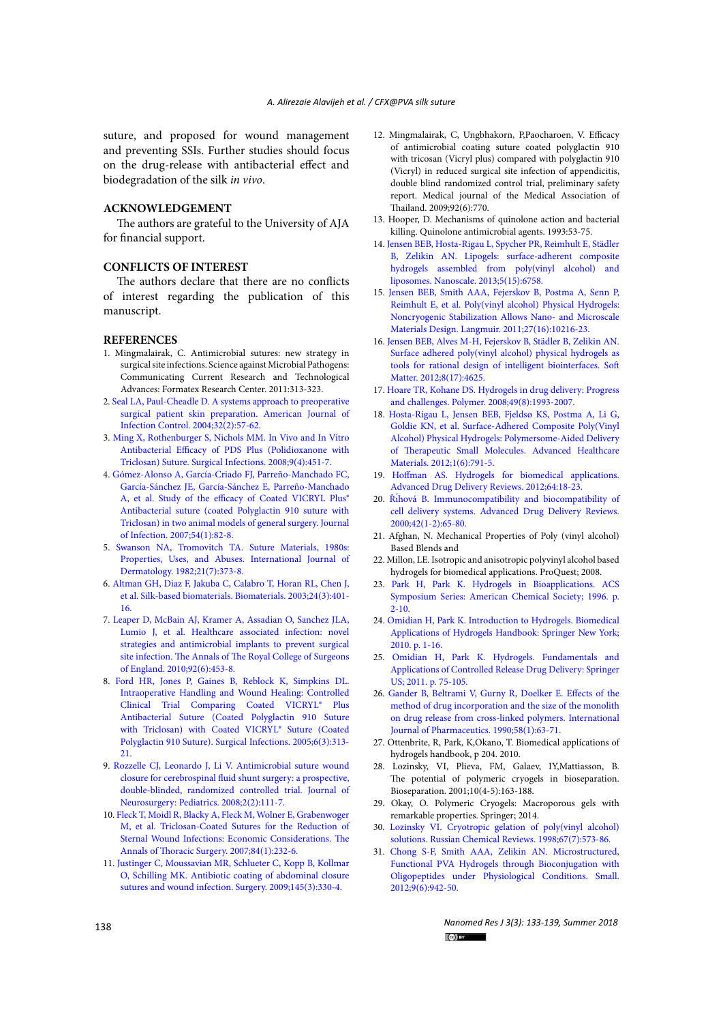suture, and proposed for wound management and preventing SSIs. Further studies should focus on the drug-release with antibacterial effect and biodegradation of the silk *in vivo*.

# **ACKNOWLEDGEMENT**

The authors are grateful to the University of AJA for financial support.

# **CONFLICTS OF INTEREST**

The authors declare that there are no conflicts of interest regarding the publication of this manuscript.

## **REFERENCES**

- 1. Mingmalairak, C. Antimicrobial sutures: new strategy in surgical site infections. Science against Microbial Pathogens: Communicating Current Research and Technological Advances: Formatex Research Center. 2011:313-323.
- 2. [Seal LA, Paul-Cheadle D. A systems approach to preoperative](http://dx.doi.org/10.1016/j.ajic.2003.11.001)  [surgical patient skin preparation. American Journal of](http://dx.doi.org/10.1016/j.ajic.2003.11.001)  [Infection Control. 2004;32\(2\):57-62.](http://dx.doi.org/10.1016/j.ajic.2003.11.001)
- 3. [Ming X, Rothenburger S, Nichols MM. In Vivo and In Vitro](http://dx.doi.org/10.1089/sur.2007.061)  [Antibacterial Efficacy of PDS Plus \(Polidioxanone with](http://dx.doi.org/10.1089/sur.2007.061)  [Triclosan\) Suture. Surgical Infections. 2008;9\(4\):451-7.](http://dx.doi.org/10.1089/sur.2007.061)
- 4. [Gómez-Alonso A, García-Criado FJ, Parreño-Manchado FC,](http://dx.doi.org/10.1016/j.jinf.2006.01.008)  [García-Sánchez JE, García-Sánchez E, Parreño-Manchado](http://dx.doi.org/10.1016/j.jinf.2006.01.008)  A, et al. Study of the efficacy of Coated VICRYL Plus® [Antibacterial suture \(coated Polyglactin 910 suture with](http://dx.doi.org/10.1016/j.jinf.2006.01.008)  [Triclosan\) in two animal models of general surgery. Journal](http://dx.doi.org/10.1016/j.jinf.2006.01.008)  [of Infection. 2007;54\(1\):82-8.](http://dx.doi.org/10.1016/j.jinf.2006.01.008)
- 5. [Swanson NA, Tromovitch TA. Suture Materials, 1980s:](http://dx.doi.org/10.1111/j.1365-4362.1982.tb03154.x)  [Properties, Uses, and Abuses. International Journal of](http://dx.doi.org/10.1111/j.1365-4362.1982.tb03154.x)  [Dermatology. 1982;21\(7\):373-8.](http://dx.doi.org/10.1111/j.1365-4362.1982.tb03154.x)
- 6. [Altman GH, Diaz F, Jakuba C, Calabro T, Horan RL, Chen J,](http://dx.doi.org/10.1016/s0142-9612(02)00353-8)  [et al. Silk-based biomaterials. Biomaterials. 2003;24\(3\):401-](http://dx.doi.org/10.1016/s0142-9612(02)00353-8) [16.](http://dx.doi.org/10.1016/s0142-9612(02)00353-8)
- 7. [Leaper D, McBain AJ, Kramer A, Assadian O, Sanchez JLA,](http://dx.doi.org/10.1308/003588410x12699663905276)  [Lumio J, et al. Healthcare associated infection: novel](http://dx.doi.org/10.1308/003588410x12699663905276)  [strategies and antimicrobial implants to prevent surgical](http://dx.doi.org/10.1308/003588410x12699663905276)  [site infection. The Annals of The Royal College of Surgeons](http://dx.doi.org/10.1308/003588410x12699663905276)  [of England. 2010;92\(6\):453-8.](http://dx.doi.org/10.1308/003588410x12699663905276)
- 8. [Ford HR, Jones P, Gaines B, Reblock K, Simpkins DL.](http://dx.doi.org/10.1089/sur.2005.6.313)  [Intraoperative Handling and Wound Healing: Controlled](http://dx.doi.org/10.1089/sur.2005.6.313)  [Clinical Trial Comparing Coated VICRYL® Plus](http://dx.doi.org/10.1089/sur.2005.6.313)  [Antibacterial Suture \(Coated Polyglactin 910 Suture](http://dx.doi.org/10.1089/sur.2005.6.313)  with Triclosan) with Coated VICRYL® Suture (Coated [Polyglactin 910 Suture\). Surgical Infections. 2005;6\(3\):313-](http://dx.doi.org/10.1089/sur.2005.6.313) [21.](http://dx.doi.org/10.1089/sur.2005.6.313)
- 9. [Rozzelle CJ, Leonardo J, Li V. Antimicrobial suture wound](http://dx.doi.org/10.3171/ped/2008/2/8/111)  [closure for cerebrospinal fluid shunt surgery: a prospective,](http://dx.doi.org/10.3171/ped/2008/2/8/111)  [double-blinded, randomized controlled trial. Journal of](http://dx.doi.org/10.3171/ped/2008/2/8/111)  [Neurosurgery: Pediatrics. 2008;2\(2\):111-7.](http://dx.doi.org/10.3171/ped/2008/2/8/111)
- 10. [Fleck T, Moidl R, Blacky A, Fleck M, Wolner E, Grabenwoger](http://dx.doi.org/10.1016/j.athoracsur.2007.03.045)  [M, et al. Triclosan-Coated Sutures for the Reduction of](http://dx.doi.org/10.1016/j.athoracsur.2007.03.045)  [Sternal Wound Infections: Economic Considerations. The](http://dx.doi.org/10.1016/j.athoracsur.2007.03.045)  [Annals of Thoracic Surgery. 2007;84\(1\):232-6.](http://dx.doi.org/10.1016/j.athoracsur.2007.03.045)
- 11. [Justinger C, Moussavian MR, Schlueter C, Kopp B, Kollmar](http://dx.doi.org/10.1016/j.surg.2008.11.007)  [O, Schilling MK. Antibiotic coating of abdominal closure](http://dx.doi.org/10.1016/j.surg.2008.11.007)  [sutures and wound infection. Surgery. 2009;145\(3\):330-4.](http://dx.doi.org/10.1016/j.surg.2008.11.007)
- 12. Mingmalairak, C, Ungbhakorn, P,Paocharoen, V. Efficacy of antimicrobial coating suture coated polyglactin 910 with tricosan (Vicryl plus) compared with polyglactin 910 (Vicryl) in reduced surgical site infection of appendicitis, double blind randomized control trial, preliminary safety report. Medical journal of the Medical Association of Thailand. 2009;92(6):770.
- 13. Hooper, D. Mechanisms of quinolone action and bacterial killing. Quinolone antimicrobial agents. 1993:53-75.
- 14. [Jensen BEB, Hosta-Rigau L, Spycher PR, Reimhult E, Städler](http://dx.doi.org/10.1039/c3nr01662e) [B, Zelikin AN. Lipogels: surface-adherent composite](http://dx.doi.org/10.1039/c3nr01662e) [hydrogels assembled from poly\(vinyl alcohol\) and](http://dx.doi.org/10.1039/c3nr01662e) [liposomes. Nanoscale. 2013;5\(15\):6758.](http://dx.doi.org/10.1039/c3nr01662e)
- 15. [Jensen BEB, Smith AAA, Fejerskov B, Postma A, Senn P,](http://dx.doi.org/10.1021/la201595e) [Reimhult E, et al. Poly\(vinyl alcohol\) Physical Hydrogels:](http://dx.doi.org/10.1021/la201595e) [Noncryogenic Stabilization Allows Nano- and Microscale](http://dx.doi.org/10.1021/la201595e) [Materials Design. Langmuir. 2011;27\(16\):10216-23.](http://dx.doi.org/10.1021/la201595e)
- 16. [Jensen BEB, Alves M-H, Fejerskov B, Städler B, Zelikin AN.](http://dx.doi.org/10.1039/c2sm07075h) [Surface adhered poly\(vinyl alcohol\) physical hydrogels as](http://dx.doi.org/10.1039/c2sm07075h) [tools for rational design of intelligent biointerfaces. Soft](http://dx.doi.org/10.1039/c2sm07075h)  [Matter. 2012;8\(17\):4625.](http://dx.doi.org/10.1039/c2sm07075h)
- 17. [Hoare TR, Kohane DS. Hydrogels in drug delivery: Progress](http://dx.doi.org/10.1016/j.polymer.2008.01.027) [and challenges. Polymer. 2008;49\(8\):1993-2007.](http://dx.doi.org/10.1016/j.polymer.2008.01.027)
- 18. [Hosta-Rigau L, Jensen BEB, Fjeldsø KS, Postma A, Li G,](http://dx.doi.org/10.1002/adhm.201200092) [Goldie KN, et al. Surface-Adhered Composite Poly\(Vinyl](http://dx.doi.org/10.1002/adhm.201200092) [Alcohol\) Physical Hydrogels: Polymersome-Aided Delivery](http://dx.doi.org/10.1002/adhm.201200092) [of Therapeutic Small Molecules. Advanced Healthcare](http://dx.doi.org/10.1002/adhm.201200092) [Materials. 2012;1\(6\):791-5.](http://dx.doi.org/10.1002/adhm.201200092)
- 19. [Hoffman AS. Hydrogels for biomedical applications.](http://dx.doi.org/10.1016/j.addr.2012.09.010) [Advanced Drug Delivery Reviews. 2012;64:18-23.](http://dx.doi.org/10.1016/j.addr.2012.09.010)
- 20. Řı́[hová B. Immunocompatibility and biocompatibility of](http://dx.doi.org/10.1016/s0169-409x(00)00054-5) [cell delivery systems. Advanced Drug Delivery Reviews.](http://dx.doi.org/10.1016/s0169-409x(00)00054-5) [2000;42\(1-2\):65-80.](http://dx.doi.org/10.1016/s0169-409x(00)00054-5)
- 21. Afghan, N. Mechanical Properties of Poly (vinyl alcohol) Based Blends and
- 22. Millon, LE. Isotropic and anisotropic polyvinyl alcohol based hydrogels for biomedical applications. ProQuest; 2008.
- 23. [Park H, Park K. Hydrogels in Bioapplications. ACS](http://dx.doi.org/10.1021/bk-1996-0627.ch001) [Symposium Series: American Chemical Society; 1996. p.](http://dx.doi.org/10.1021/bk-1996-0627.ch001)  $2 - 10$ .
- 24. [Omidian H, Park K. Introduction to Hydrogels. Biomedical](http://dx.doi.org/10.1007/978-1-4419-5919-5_1) [Applications of Hydrogels Handbook: Springer New York;](http://dx.doi.org/10.1007/978-1-4419-5919-5_1) [2010. p. 1-16.](http://dx.doi.org/10.1007/978-1-4419-5919-5_1)
- 25. [Omidian H, Park K. Hydrogels. Fundamentals and](http://dx.doi.org/10.1007/978-1-4614-0881-9_4) [Applications of Controlled Release Drug Delivery: Springer](http://dx.doi.org/10.1007/978-1-4614-0881-9_4) [US; 2011. p. 75-105.](http://dx.doi.org/10.1007/978-1-4614-0881-9_4)
- 26. [Gander B, Beltrami V, Gurny R, Doelker E. Effects of the](http://dx.doi.org/10.1016/0378-5173(90)90288-f) [method of drug incorporation and the size of the monolith](http://dx.doi.org/10.1016/0378-5173(90)90288-f) [on drug release from cross-linked polymers. International](http://dx.doi.org/10.1016/0378-5173(90)90288-f) [Journal of Pharmaceutics. 1990;58\(1\):63-71.](http://dx.doi.org/10.1016/0378-5173(90)90288-f)
- 27. Ottenbrite, R, Park, K,Okano, T. Biomedical applications of hydrogels handbook, p 204. 2010.
- 28. Lozinsky, VI, Plieva, FM, Galaev, IY,Mattiasson, B. The potential of polymeric cryogels in bioseparation. Bioseparation. 2001;10(4-5):163-188.
- 29. Okay, O. Polymeric Cryogels: Macroporous gels with remarkable properties. Springer; 2014.
- 30. [Lozinsky VI. Cryotropic gelation of poly\(vinyl alcohol\)](http://dx.doi.org/10.1070/rc1998v067n07abeh000399) [solutions. Russian Chemical Reviews. 1998;67\(7\):573-86.](http://dx.doi.org/10.1070/rc1998v067n07abeh000399)
- 31. [Chong S-F, Smith AAA, Zelikin AN. Microstructured,](http://dx.doi.org/10.1002/smll.201201774) [Functional PVA Hydrogels through Bioconjugation with](http://dx.doi.org/10.1002/smll.201201774) [Oligopeptides under Physiological Conditions. Small.](http://dx.doi.org/10.1002/smll.201201774) [2012;9\(6\):942-50.](http://dx.doi.org/10.1002/smll.201201774)

*Nanomed Res J 3(3): 133-139, Summer 2018*  $\left(\text{c} \right)$  BY